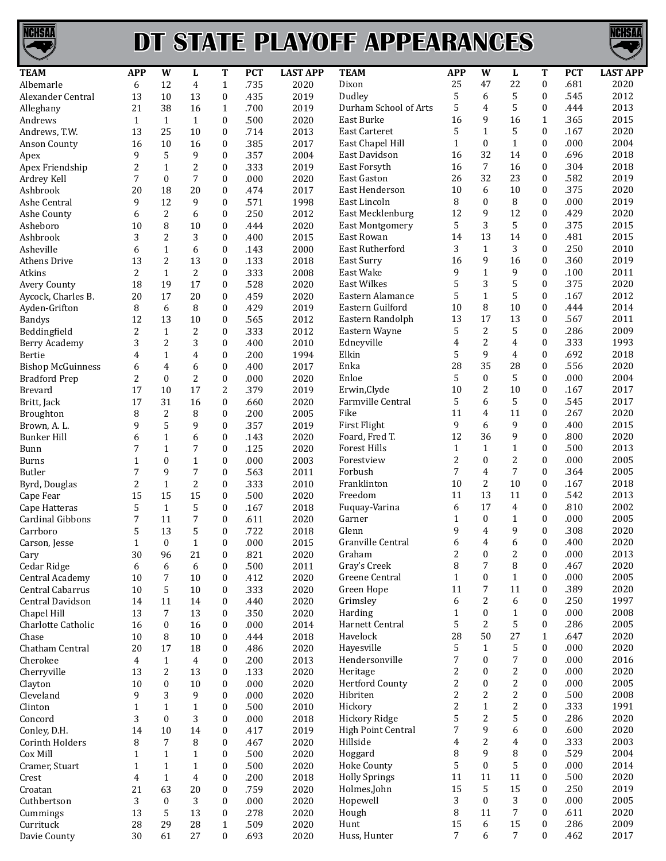

## **DT STATE PLAYOFF APPEARANCES**



| <b>TEAM</b>              | <b>APP</b>     | W                | L              | T                | <b>PCT</b> | <b>LAST APP</b> | <b>TEAM</b>            | <b>APP</b>   | W                | L              | T                | <b>PCT</b> | <b>LAST APP</b> |
|--------------------------|----------------|------------------|----------------|------------------|------------|-----------------|------------------------|--------------|------------------|----------------|------------------|------------|-----------------|
| Albemarle                | 6              | 12               | 4              | $\mathbf{1}$     | .735       | 2020            | Dixon                  | 25           | 47               | 22             | $\boldsymbol{0}$ | .681       | 2020            |
| Alexander Central        | 13             | 10               | 13             | $\boldsymbol{0}$ | .435       | 2019            | Dudley                 | 5            | 6                | 5              | 0                | .545       | 2012            |
| Alleghany                | 21             | 38               | 16             | $1\,$            | .700       | 2019            | Durham School of Arts  | 5            | 4                | 5              | $\boldsymbol{0}$ | .444       | 2013            |
| Andrews                  | $\mathbf{1}$   | $\mathbf{1}$     | $\mathbf{1}$   | $\boldsymbol{0}$ | .500       | 2020            | East Burke             | 16           | 9                | 16             | $\mathbf{1}$     | .365       | 2015            |
| Andrews, T.W.            | 13             | 25               | 10             | $\mathbf{0}$     | .714       | 2013            | <b>East Carteret</b>   | 5            | $\mathbf{1}$     | 5              | $\boldsymbol{0}$ | .167       | 2020            |
| <b>Anson County</b>      | 16             | 10               | 16             | $\mathbf{0}$     | .385       | 2017            | East Chapel Hill       | $\mathbf{1}$ | $\boldsymbol{0}$ | $\mathbf{1}$   | $\boldsymbol{0}$ | .000       | 2004            |
| Apex                     | 9              | 5                | 9              | $\boldsymbol{0}$ | .357       | 2004            | East Davidson          | 16           | 32               | 14             | $\boldsymbol{0}$ | .696       | 2018            |
| Apex Friendship          | $\overline{c}$ | $1\,$            | $\overline{c}$ | $\boldsymbol{0}$ | .333       | 2019            | East Forsyth           | 16           | $\overline{7}$   | 16             | $\boldsymbol{0}$ | .304       | 2018            |
| Ardrey Kell              | 7              | $\mathbf{0}$     | $\overline{7}$ | $\mathbf{0}$     | .000       | 2020            | <b>East Gaston</b>     | 26           | 32               | 23             | $\mathbf{0}$     | .582       | 2019            |
| Ashbrook                 | 20             | 18               | 20             | $\mathbf{0}$     | .474       | 2017            | East Henderson         | 10           | 6                | 10             | $\mathbf{0}$     | .375       | 2020            |
| Ashe Central             | 9              | 12               | 9              | $\mathbf{0}$     | .571       | 1998            | East Lincoln           | 8            | $\mathbf{0}$     | 8              | $\boldsymbol{0}$ | .000       | 2019            |
| Ashe County              | 6              | $\overline{2}$   | 6              | $\boldsymbol{0}$ | .250       | 2012            | East Mecklenburg       | 12           | 9                | 12             | $\boldsymbol{0}$ | .429       | 2020            |
| Asheboro                 | 10             | 8                | 10             | $\boldsymbol{0}$ | .444       | 2020            | <b>East Montgomery</b> | 5            | 3                | 5              | $\boldsymbol{0}$ | .375       | 2015            |
| Ashbrook                 | 3              | $\overline{2}$   | 3              | $\mathbf{0}$     | .400       | 2015            | East Rowan             | 14           | 13               | 14             | $\boldsymbol{0}$ | .481       | 2015            |
| Asheville                | 6              | $1\,$            | 6              | $\mathbf{0}$     | .143       | 2000            | East Rutherford        | 3            | $\mathbf{1}$     | 3              | $\boldsymbol{0}$ | .250       | 2010            |
| <b>Athens Drive</b>      | 13             | $\overline{2}$   | 13             | $\mathbf{0}$     | .133       | 2018            | <b>East Surry</b>      | 16           | 9                | 16             | 0                | .360       | 2019            |
| Atkins                   | $\overline{2}$ | $\mathbf{1}$     | $\overline{2}$ | $\boldsymbol{0}$ | .333       | 2008            | East Wake              | 9            | $\mathbf{1}$     | 9              | $\boldsymbol{0}$ | .100       | 2011            |
| Avery County             | 18             | 19               | 17             | $\boldsymbol{0}$ | .528       | 2020            | East Wilkes            | 5            | 3                | 5              | $\boldsymbol{0}$ | .375       | 2020            |
|                          |                |                  | 20             |                  |            |                 | Eastern Alamance       | 5            | $\mathbf{1}$     | 5              | $\boldsymbol{0}$ | .167       | 2012            |
| Aycock, Charles B.       | 20             | 17               |                | $\boldsymbol{0}$ | .459       | 2020            | Eastern Guilford       | 10           | 8                | 10             | $\boldsymbol{0}$ | .444       | 2014            |
| Ayden-Grifton            | 8              | 6                | 8              | $\mathbf{0}$     | .429       | 2019            |                        |              |                  |                |                  |            |                 |
| <b>Bandys</b>            | 12             | 13               | 10             | $\mathbf{0}$     | .565       | 2012            | Eastern Randolph       | 13           | 17               | 13             | $\mathbf{0}$     | .567       | 2011            |
| Beddingfield             | 2              | $\mathbf{1}$     | $\overline{2}$ | $\boldsymbol{0}$ | .333       | 2012            | Eastern Wayne          | 5            | $\boldsymbol{2}$ | 5              | $\boldsymbol{0}$ | .286       | 2009            |
| <b>Berry Academy</b>     | 3              | $\overline{2}$   | 3              | $\mathbf{0}$     | .400       | 2010            | Edneyville             | 4            | 2                | 4              | $\boldsymbol{0}$ | .333       | 1993            |
| Bertie                   | 4              | $\mathbf{1}$     | $\overline{4}$ | $\mathbf{0}$     | .200       | 1994            | Elkin                  | 5            | 9                | $\overline{4}$ | $\boldsymbol{0}$ | .692       | 2018            |
| <b>Bishop McGuinness</b> | 6              | 4                | 6              | $\mathbf{0}$     | .400       | 2017            | Enka                   | 28           | 35               | 28             | $\mathbf{0}$     | .556       | 2020            |
| <b>Bradford Prep</b>     | $\overline{2}$ | $\mathbf{0}$     | $\overline{2}$ | $\mathbf{0}$     | .000       | 2020            | Enloe                  | 5            | $\mathbf{0}$     | 5              | $\boldsymbol{0}$ | .000       | 2004            |
| <b>Brevard</b>           | 17             | 10               | 17             | $\overline{c}$   | .379       | 2019            | Erwin, Clyde           | 10           | 2                | 10             | $\boldsymbol{0}$ | .167       | 2017            |
| Britt, Jack              | 17             | 31               | 16             | $\boldsymbol{0}$ | .660       | 2020            | Farmville Central      | 5            | 6                | 5              | $\boldsymbol{0}$ | .545       | 2017            |
| Broughton                | 8              | $\sqrt{2}$       | 8              | $\boldsymbol{0}$ | .200       | 2005            | Fike                   | 11           | $\overline{4}$   | 11             | $\mathbf{0}$     | .267       | 2020            |
| Brown, A.L.              | 9              | 5                | 9              | $\mathbf{0}$     | .357       | 2019            | First Flight           | 9            | 6                | 9              | $\boldsymbol{0}$ | .400       | 2015            |
| <b>Bunker Hill</b>       | 6              | $1\,$            | 6              | $\mathbf{0}$     | .143       | 2020            | Foard, Fred T.         | 12           | 36               | 9              | $\boldsymbol{0}$ | .800       | 2020            |
| Bunn                     | 7              | $1\,$            | $\overline{7}$ | $\boldsymbol{0}$ | .125       | 2020            | <b>Forest Hills</b>    | $\mathbf{1}$ | $\mathbf{1}$     | $\mathbf{1}$   | $\boldsymbol{0}$ | .500       | 2013            |
| Burns                    | $\mathbf{1}$   | $\mathbf{0}$     | $\mathbf{1}$   | $\mathbf{0}$     | .000       | 2003            | Forestview             | 2            | $\mathbf{0}$     | 2              | $\boldsymbol{0}$ | .000       | 2005            |
| Butler                   | 7              | 9                | $\overline{7}$ | $\mathbf{0}$     | .563       | 2011            | Forbush                | 7            | 4                | 7              | $\boldsymbol{0}$ | .364       | 2005            |
| Byrd, Douglas            | $\overline{c}$ | $1\,$            | $\overline{c}$ | $\mathbf{0}$     | .333       | 2010            | Franklinton            | 10           | 2                | 10             | $\boldsymbol{0}$ | .167       | 2018            |
| Cape Fear                | 15             | 15               | 15             | $\mathbf{0}$     | .500       | 2020            | Freedom                | 11           | 13               | 11             | 0                | .542       | 2013            |
| Cape Hatteras            | 5              | $\mathbf{1}$     | 5              | $\boldsymbol{0}$ | .167       | 2018            | Fuquay-Varina          | 6            | 17               | $\overline{4}$ | $\boldsymbol{0}$ | .810       | 2002            |
| Cardinal Gibbons         | 7              | 11               | 7              | $\boldsymbol{0}$ | .611       | 2020            | Garner                 | $\mathbf{1}$ | $\boldsymbol{0}$ | $\mathbf{1}$   | $\boldsymbol{0}$ | .000       | 2005            |
| Carrboro                 | 5              | 13               | 5              | $\boldsymbol{0}$ | .722       | 2018            | Glenn                  | 9            | 4                | 9              | $\boldsymbol{0}$ | .308       | 2020            |
| Carson, Jesse            | $\mathbf{1}$   | $\mathbf{0}$     | $\mathbf{1}$   | $\mathbf{0}$     | .000       | 2015            | Granville Central      | 6            | 4                | 6              | $\Omega$         | .400       | 2020            |
| Cary                     | 30             | 96               | 21             | $\bf{0}$         | .821       | 2020            | Graham                 | 2            | $\boldsymbol{0}$ | 2              | 0                | .000       | 2013            |
| Cedar Ridge              | 6              | 6                | 6              | $\boldsymbol{0}$ | .500       | 2011            | Gray's Creek           | 8            | 7                | 8              | $\boldsymbol{0}$ | .467       | 2020            |
| Central Academy          | 10             | $\overline{7}$   | 10             | $\boldsymbol{0}$ | .412       | 2020            | Greene Central         | $\mathbf{1}$ | $\mathbf{0}$     | $\mathbf{1}$   | $\boldsymbol{0}$ | .000       | 2005            |
| Central Cabarrus         | 10             | 5                | 10             | $\mathbf{0}$     | .333       | 2020            | Green Hope             | 11           | 7                | 11             | $\mathbf{0}$     | .389       | 2020            |
| Central Davidson         | 14             | 11               | 14             | $\mathbf{0}$     | .440       | 2020            | Grimsley               | 6            | 2                | 6              | $\mathbf{0}$     | .250       | 1997            |
| Chapel Hill              | 13             | 7                | 13             | $\mathbf{0}$     | .350       | 2020            | Harding                | $\mathbf{1}$ | $\boldsymbol{0}$ | $\mathbf{1}$   | $\mathbf{0}$     | .000       | 2008            |
| Charlotte Catholic       | 16             | $\bf{0}$         | 16             | $\boldsymbol{0}$ | .000       | 2014            | Harnett Central        | 5            | 2                | 5              | $\boldsymbol{0}$ | .286       | 2005            |
| Chase                    | 10             | 8                | 10             | $\boldsymbol{0}$ | .444       | 2018            | Havelock               | 28           | 50               | 27             | $\mathbf{1}$     | .647       | 2020            |
| Chatham Central          | 20             | 17               | 18             | $\mathbf{0}$     | .486       | 2020            | Hayesville             | 5            | $\mathbf{1}$     | 5              | $\mathbf{0}$     | .000       | 2020            |
| Cherokee                 | 4              | $\mathbf{1}$     | $\overline{4}$ | $\mathbf{0}$     | .200       | 2013            | Hendersonville         | 7            | $\mathbf{0}$     | 7              | $\mathbf{0}$     | .000       | 2016            |
| Cherryville              | 13             | 2                | 13             | $\mathbf{0}$     | .133       | 2020            | Heritage               | 2            | $\boldsymbol{0}$ | 2              | $\boldsymbol{0}$ | .000       | 2020            |
| Clayton                  | 10             | $\boldsymbol{0}$ | 10             | $\boldsymbol{0}$ | .000       | 2020            | <b>Hertford County</b> | 2            | $\boldsymbol{0}$ | 2              | $\boldsymbol{0}$ | .000       | 2005            |
| Cleveland                | 9              | 3                | 9              | $\mathbf{0}$     | .000       | 2020            | Hibriten               | 2            | 2                | 2              | $\boldsymbol{0}$ | .500       | 2008            |
| Clinton                  | $\mathbf{1}$   | $\mathbf{1}$     | $\mathbf{1}$   | $\boldsymbol{0}$ | .500       | 2010            | Hickory                | 2            | $\mathbf{1}$     | 2              | $\mathbf{0}$     | .333       | 1991            |
| Concord                  | 3              | $\mathbf{0}$     | 3              | $\mathbf{0}$     | .000       | 2018            | Hickory Ridge          | 5            | 2                | 5              | $\mathbf{0}$     | .286       | 2020            |
| Conley, D.H.             | 14             | 10               | 14             | $\mathbf{0}$     | .417       | 2019            | High Point Central     | 7            | 9                | 6              | $\boldsymbol{0}$ | .600       | 2020            |
| Corinth Holders          | 8              | $\overline{7}$   | 8              | $\boldsymbol{0}$ | .467       | 2020            | Hillside               | 4            | 2                | 4              | $\boldsymbol{0}$ | .333       | 2003            |
| Cox Mill                 | $\mathbf{1}$   | $\mathbf{1}$     | $\mathbf{1}$   | $\boldsymbol{0}$ | .500       | 2020            | Hoggard                | 8            | 9                | 8              | $\boldsymbol{0}$ | .529       | 2004            |
|                          | $\mathbf{1}$   | $\mathbf{1}$     | $\mathbf{1}$   | $\mathbf{0}$     | .500       | 2020            | <b>Hoke County</b>     | 5            | $\mathbf{0}$     | 5              | $\mathbf{0}$     | .000       | 2014            |
| Cramer, Stuart           |                |                  |                |                  |            |                 | <b>Holly Springs</b>   | 11           | 11               | 11             | 0                | .500       | 2020            |
| Crest                    | $\overline{4}$ | $\mathbf{1}$     | 4              | $\mathbf{0}$     | .200       | 2018            | Holmes, John           | 15           | 5                | 15             |                  | .250       | 2019            |
| Croatan                  | 21             | 63               | 20             | $\mathbf{0}$     | .759       | 2020            |                        |              |                  |                | 0                |            |                 |
| Cuthbertson              | 3              | $\boldsymbol{0}$ | 3              | $\boldsymbol{0}$ | .000       | 2020            | Hopewell               | 3            | $\boldsymbol{0}$ | 3              | $\boldsymbol{0}$ | .000       | 2005            |
| Cummings                 | 13             | 5                | 13             | $\boldsymbol{0}$ | .278       | 2020            | Hough                  | 8            | 11               | $\overline{7}$ | $\mathbf{0}$     | .611       | 2020            |
| Currituck                | 28             | 29               | 28             | $\mathbf{1}$     | .509       | 2020            | Hunt                   | 15           | 6                | 15             | $\mathbf{0}$     | .286       | 2009            |
| Davie County             | 30             | 61               | 27             | $\boldsymbol{0}$ | .693       | 2020            | Huss, Hunter           | 7            | 6                | 7              | $\mathbf{0}$     | .462       | 2017            |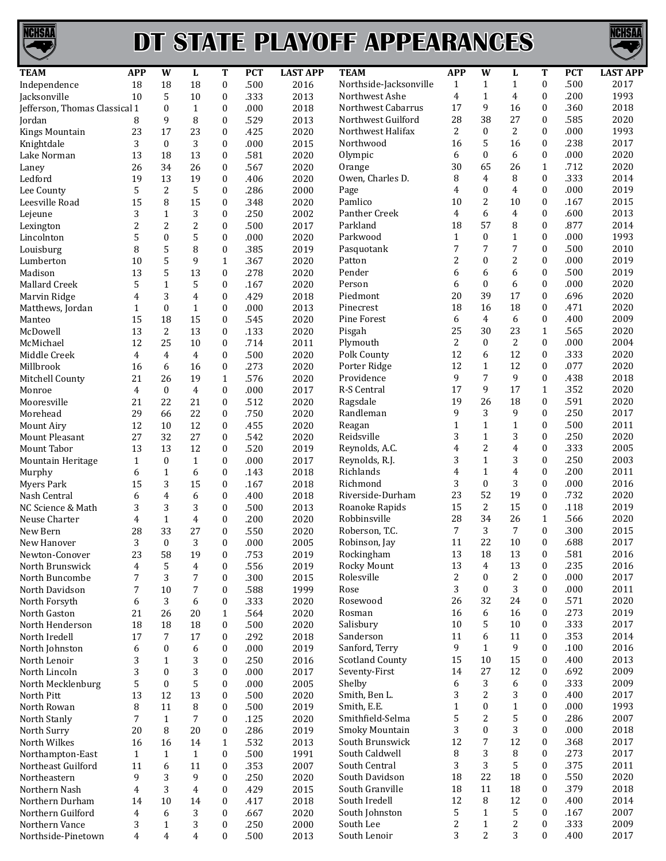

## **DT STATE PLAYOFF APPEARANCES**



| <b>TEAM</b>                        | <b>APP</b>         | W                | L              | T                | <b>PCT</b> | <b>LAST APP</b> | <b>TEAM</b>            | <b>APP</b>   | W                | L              | T                | <b>PCT</b> | <b>LAST APP</b> |
|------------------------------------|--------------------|------------------|----------------|------------------|------------|-----------------|------------------------|--------------|------------------|----------------|------------------|------------|-----------------|
| Independence                       | 18                 | 18               | 18             | $\boldsymbol{0}$ | .500       | 2016            | Northside-Jacksonville | $\mathbf{1}$ | $\mathbf{1}$     | $\mathbf{1}$   | 0                | .500       | 2017            |
| Jacksonville                       | 10                 | 5                | 10             | $\boldsymbol{0}$ | .333       | 2013            | Northwest Ashe         | 4            | $\mathbf{1}$     | 4              | $\boldsymbol{0}$ | .200       | 1993            |
| Jefferson, Thomas Classical 1      |                    | $\mathbf{0}$     | $\mathbf{1}$   | 0                | .000       | 2018            | Northwest Cabarrus     | 17           | 9                | 16             | $\boldsymbol{0}$ | .360       | 2018            |
| Jordan                             | 8                  | 9                | 8              | $\mathbf{0}$     | .529       | 2013            | Northwest Guilford     | 28           | 38               | 27             | $\boldsymbol{0}$ | .585       | 2020            |
| Kings Mountain                     | 23                 | 17               | 23             | $\mathbf{0}$     | .425       | 2020            | Northwest Halifax      | 2            | $\mathbf{0}$     | 2              | $\boldsymbol{0}$ | .000       | 1993            |
| Knightdale                         | 3                  | $\mathbf{0}$     | 3              | $\mathbf{0}$     | .000       | 2015            | Northwood              | 16           | 5                | 16             | 0                | .238       | 2017            |
| Lake Norman                        | 13                 | 18               | 13             | $\boldsymbol{0}$ | .581       | 2020            | Olympic                | 6            | $\overline{0}$   | 6              | 0                | .000       | 2020            |
| Laney                              | 26                 | 34               | 26             | 0                | .567       | 2020            | Orange                 | 30           | 65               | 26             | $\mathbf{1}$     | .712       | 2020            |
| Ledford                            | 19                 | 13               | 19             | $\mathbf{0}$     | .406       | 2020            | Owen, Charles D.       | 8            | 4                | 8              | $\boldsymbol{0}$ | .333       | 2014            |
| Lee County                         | 5                  | 2                | 5              | $\mathbf{0}$     | .286       | 2000            | Page                   | 4            | $\mathbf{0}$     | 4              | $\boldsymbol{0}$ | .000       | 2019            |
| Leesville Road                     | 15                 | 8                | 15             | $\mathbf{0}$     | .348       | 2020            | Pamlico                | 10           | 2                | 10             | $\boldsymbol{0}$ | .167       | 2015            |
| Lejeune                            | 3                  | $\mathbf{1}$     | 3              | $\boldsymbol{0}$ | .250       | 2002            | Panther Creek          | 4            | 6                | $\overline{4}$ | $\boldsymbol{0}$ | .600       | 2013            |
| Lexington                          | 2                  | 2                | $\overline{c}$ | 0                | .500       | 2017            | Parkland               | 18           | 57               | 8              | $\boldsymbol{0}$ | .877       | 2014            |
| Lincolnton                         | 5                  | $\mathbf{0}$     | 5              | $\mathbf{0}$     | .000       | 2020            | Parkwood               | $\mathbf{1}$ | $\boldsymbol{0}$ | 1              | $\boldsymbol{0}$ | .000       | 1993            |
| Louisburg                          | 8                  | 5                | 8              | $\boldsymbol{0}$ | .385       | 2019            | Pasquotank             | 7            | 7                | 7              | $\boldsymbol{0}$ | .500       | 2010            |
| Lumberton                          | 10                 | 5                | 9              | $\mathbf{1}$     | .367       | 2020            | Patton                 | 2            | 0                | 2              | $\boldsymbol{0}$ | .000       | 2019            |
| Madison                            | 13                 | 5                | 13             | $\boldsymbol{0}$ | .278       | 2020            | Pender                 | 6            | 6                | 6              | 0                | .500       | 2019            |
| Mallard Creek                      | 5                  | $\mathbf{1}$     | 5              | 0                | .167       | 2020            | Person                 | 6            | $\overline{0}$   | 6              | $\boldsymbol{0}$ | .000       | 2020            |
|                                    |                    |                  |                |                  |            |                 | Piedmont               |              | 39               | 17             | $\boldsymbol{0}$ |            |                 |
| Marvin Ridge                       | 4                  | 3                | 4              | $\mathbf{0}$     | .429       | 2018            | Pinecrest              | 20           |                  |                |                  | .696       | 2020            |
| Matthews, Jordan                   | 1                  | $\mathbf{0}$     | $\mathbf{1}$   | $\boldsymbol{0}$ | .000       | 2013            |                        | 18           | 16               | 18             | 0                | .471       | 2020            |
| Manteo                             | 15                 | 18               | 15             | $\mathbf{0}$     | .545       | 2020            | Pine Forest            | 6            | 4                | 6              | 0                | .400       | 2009            |
| McDowell                           | 13                 | 2                | 13             | $\boldsymbol{0}$ | .133       | 2020            | Pisgah                 | 25           | 30               | 23             | $\mathbf{1}$     | .565       | 2020            |
| McMichael                          | 12                 | 25               | 10             | $\boldsymbol{0}$ | .714       | 2011            | Plymouth               | 2            | $\mathbf{0}$     | 2              | $\overline{0}$   | .000       | 2004            |
| Middle Creek                       | 4                  | 4                | $\overline{4}$ | $\mathbf{0}$     | .500       | 2020            | Polk County            | 12           | 6                | 12             | $\boldsymbol{0}$ | .333       | 2020            |
| Millbrook                          | 16                 | 6                | 16             | $\boldsymbol{0}$ | .273       | 2020            | Porter Ridge           | 12           | $\mathbf{1}$     | 12             | $\boldsymbol{0}$ | .077       | 2020            |
| Mitchell County                    | 21                 | 26               | 19             | $\mathbf{1}$     | .576       | 2020            | Providence             | 9            | 7                | 9              | 0                | .438       | 2018            |
| Monroe                             | 4                  | $\mathbf{0}$     | $\overline{4}$ | $\boldsymbol{0}$ | .000       | 2017            | R-S Central            | 17           | 9                | 17             | $\mathbf{1}$     | .352       | 2020            |
| Mooresville                        | 21                 | 22               | 21             | $\boldsymbol{0}$ | .512       | 2020            | Ragsdale               | 19           | 26               | 18             | $\boldsymbol{0}$ | .591       | 2020            |
| Morehead                           | 29                 | 66               | 22             | $\mathbf{0}$     | .750       | 2020            | Randleman              | 9            | 3                | 9              | $\boldsymbol{0}$ | .250       | 2017            |
| <b>Mount Airy</b>                  | 12                 | 10               | 12             | $\boldsymbol{0}$ | .455       | 2020            | Reagan                 | $\mathbf{1}$ | $\mathbf{1}$     | 1              | $\boldsymbol{0}$ | .500       | 2011            |
| <b>Mount Pleasant</b>              | 27                 | 32               | 27             | $\mathbf{0}$     | .542       | 2020            | Reidsville             | 3            | $\mathbf{1}$     | 3              | $\boldsymbol{0}$ | .250       | 2020            |
| Mount Tabor                        | 13                 | 13               | 12             | $\boldsymbol{0}$ | .520       | 2019            | Reynolds, A.C.         | 4            | 2                | 4              | 0                | .333       | 2005            |
| <b>Mountain Heritage</b>           | $\mathbf{1}$       | $\mathbf{0}$     | $\mathbf{1}$   | $\boldsymbol{0}$ | .000       | 2017            | Reynolds, R.J.         | 3            | $\mathbf{1}$     | 3              | $\overline{0}$   | .250       | 2003            |
| Murphy                             | 6                  | $\mathbf{1}$     | 6              | $\mathbf{0}$     | .143       | 2018            | Richlands              | 4            | $\mathbf{1}$     | 4              | $\boldsymbol{0}$ | .200       | 2011            |
| Myers Park                         | 15                 | 3                | 15             | $\boldsymbol{0}$ | .167       | 2018            | Richmond               | 3            | $\mathbf{0}$     | 3              | $\boldsymbol{0}$ | .000       | 2016            |
| Nash Central                       | 6                  | 4                | 6              | $\mathbf{0}$     | .400       | 2018            | Riverside-Durham       | 23           | 52               | 19             | $\boldsymbol{0}$ | .732       | 2020            |
| NC Science & Math                  | 3                  | 3                | 3              | $\boldsymbol{0}$ | .500       | 2013            | Roanoke Rapids         | 15           | 2                | 15             | 0                | .118       | 2019            |
| Neuse Charter                      | 4                  | $\mathbf{1}$     | 4              | $\boldsymbol{0}$ | .200       | 2020            | Robbinsville           | 28           | 34               | 26             | $\mathbf{1}$     | .566       | 2020            |
| New Bern                           | 28                 | 33               | 27             | $\mathbf{0}$     | .550       | 2020            | Roberson, T.C.         | 7            | 3                | 7              | $\boldsymbol{0}$ | .300       | 2015            |
| New Hanover                        | 3                  | $\mathbf{0}$     | 3              | $\mathbf{0}$     | .000       | 2005            | Robinson, Jay          | 11           | 22               | 10             | $\theta$         | .688       | 2017            |
| Newton-Conover                     | 23                 | 58               | 19             | $\bf{0}$         | .753       | 2019            | Rockingham             | 13           | 18               | 13             | 0                | .581       | 2016            |
| North Brunswick                    | 4                  | 5                | 4              | $\boldsymbol{0}$ | .556       | 2019            | Rocky Mount            | 13           | $\overline{4}$   | 13             | $\boldsymbol{0}$ | .235       | 2016            |
| North Buncombe                     | 7                  | 3                | 7              | 0                | .300       | 2015            | Rolesville             | 2            | $\boldsymbol{0}$ | 2              | $\boldsymbol{0}$ | .000       | 2017            |
| North Davidson                     | 7                  | 10               | 7              | $\mathbf{0}$     | .588       | 1999            | Rose                   | 3            | $\boldsymbol{0}$ | 3              | 0                | .000       | 2011            |
| North Forsyth                      | 6                  | 3                | 6              | $\boldsymbol{0}$ | .333       | 2020            | Rosewood               | 26           | 32               | 24             | 0                | .571       | 2020            |
| North Gaston                       | 21                 | 26               | 20             | 1                | .564       | 2020            | Rosman                 | 16           | 6                | 16             | 0                | .273       | 2019            |
| North Henderson                    | 18                 | 18               | 18             | $\boldsymbol{0}$ | .500       | 2020            | Salisbury              | 10           | 5                | 10             | 0                | .333       | 2017            |
| North Iredell                      | 17                 | 7                | 17             | $\boldsymbol{0}$ | .292       | 2018            | Sanderson              | 11           | 6                | 11             | 0                | .353       | 2014            |
| North Johnston                     | 6                  | $\boldsymbol{0}$ | 6              | $\mathbf{0}$     | .000       | 2019            | Sanford, Terry         | 9            | $\mathbf{1}$     | 9              | $\boldsymbol{0}$ | .100       | 2016            |
| North Lenoir                       | 3                  | 1                | 3              | $\mathbf{0}$     | .250       | 2016            | <b>Scotland County</b> | 15           | 10               | 15             | 0                | .400       | 2013            |
| North Lincoln                      | 3                  | $\mathbf{0}$     | 3              | $\mathbf{0}$     | .000       | 2017            | Seventy-First          | 14           | 27               | 12             | 0                | .692       | 2009            |
| North Mecklenburg                  | 5                  | $\bf{0}$         | 5              | $\boldsymbol{0}$ | .000       | 2005            | Shelby                 | 6            | 3                | 6              | 0                | .333       | 2009            |
| North Pitt                         | 13                 | 12               | 13             | $\boldsymbol{0}$ | .500       | 2020            | Smith, Ben L.          | 3            | 2                | 3              | $\mathbf{0}$     | .400       | 2017            |
| North Rowan                        | 8                  | 11               | 8              | $\boldsymbol{0}$ | .500       | 2019            | Smith, E.E.            | $\mathbf{1}$ | $\boldsymbol{0}$ | 1              | 0                | .000       | 1993            |
| North Stanly                       | $\overline{7}$     | $\mathbf{1}$     | 7              | $\boldsymbol{0}$ | .125       | 2020            | Smithfield-Selma       | 5            | 2                | 5              | 0                | .286       | 2007            |
| North Surry                        | 20                 | 8                | 20             | $\boldsymbol{0}$ | .286       | 2019            | Smoky Mountain         | 3            | $\mathbf{0}$     | 3              | $\mathbf{0}$     | .000       | 2018            |
| North Wilkes                       | 16                 | 16               | 14             | $\mathbf{1}$     | .532       | 2013            | South Brunswick        | 12           | 7                | 12             | $\boldsymbol{0}$ | .368       | 2017            |
|                                    |                    | $\mathbf{1}$     | $\mathbf{1}$   | $\boldsymbol{0}$ | .500       | 1991            | South Caldwell         | 8            | 3                | 8              | $\boldsymbol{0}$ | .273       | 2017            |
| Northampton-East                   | $\mathbf{1}$<br>11 | 6                | 11             | $\boldsymbol{0}$ | .353       | 2007            | South Central          | 3            | 3                | 5              | 0                | .375       | 2011            |
| Northeast Guilford<br>Northeastern |                    |                  |                |                  |            |                 | South Davidson         | 18           | 22               | 18             | 0                | .550       | 2020            |
|                                    | 9                  | 3                | 9              | $\mathbf{0}$     | .250       | 2020            | South Granville        | 18           | 11               | 18             |                  | .379       | 2018            |
| Northern Nash                      | 4                  | 3                | 4              | $\mathbf{0}$     | .429       | 2015            |                        |              |                  | 12             | 0                |            |                 |
| Northern Durham                    | 14                 | 10               | 14             | $\boldsymbol{0}$ | .417       | 2018            | South Iredell          | 12           | 8                |                | 0                | .400       | 2014            |
| Northern Guilford                  | 4                  | 6                | 3              | 0                | .667       | 2020            | South Johnston         | 5            | $\mathbf{1}$     | 5              | $\boldsymbol{0}$ | .167       | 2007            |
| Northern Vance                     | 3                  | $\mathbf{1}$     | 3              | $\mathbf{0}$     | .250       | 2000            | South Lee              | 2            | $\mathbf{1}$     | 2              | 0                | .333       | 2009            |
| Northside-Pinetown                 | 4                  | 4                | 4              | $\boldsymbol{0}$ | .500       | 2013            | South Lenoir           | 3            | 2                | 3              | 0                | .400       | 2017            |